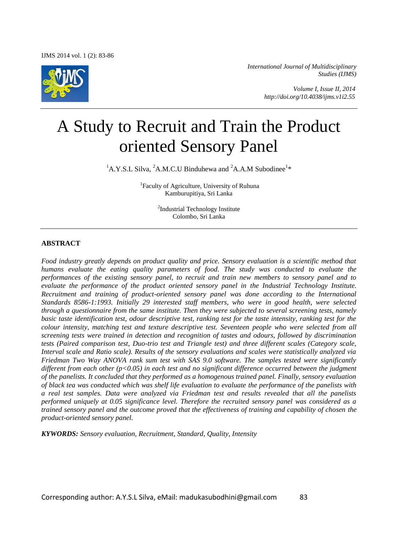

*International Journal of Multidisciplinary Studies (IJMS)* 

> *Volume I, Issue II, 2014 http://doi.org/10.4038/ijms.v1i2.55*

# A Study to Recruit and Train the Product oriented Sensory Panel

 ${}^{1}$ A.Y.S.L Silva,  ${}^{2}$ A.M.C.U Binduhewa and  ${}^{2}$ A.A.M Subodinee<sup>1\*</sup>

<sup>1</sup>Faculty of Agriculture, University of Ruhuna Kamburupitiya, Sri Lanka

> <sup>2</sup>Industrial Technology Institute Colombo, Sri Lanka

#### **ABSTRACT**

*Food industry greatly depends on product quality and price. Sensory evaluation is a scientific method that humans evaluate the eating quality parameters of food. The study was conducted to evaluate the performances of the existing sensory panel, to recruit and train new members to sensory panel and to evaluate the performance of the product oriented sensory panel in the Industrial Technology Institute. Recruitment and training of product-oriented sensory panel was done according to the International Standards 8586-1:1993. Initially 29 interested staff members, who were in good health, were selected through a questionnaire from the same institute. Then they were subjected to several screening tests, namely basic taste identification test, odour descriptive test, ranking test for the taste intensity, ranking test for the colour intensity, matching test and texture descriptive test. Seventeen people who were selected from all screening tests were trained in detection and recognition of tastes and odours, followed by discrimination tests (Paired comparison test, Duo-trio test and Triangle test) and three different scales (Category scale, Interval scale and Ratio scale). Results of the sensory evaluations and scales were statistically analyzed via Friedman Two Way ANOVA rank sum test with SAS 9.0 software. The samples tested were significantly different from each other (p<0.05) in each test and no significant difference occurred between the judgment of the panelists. It concluded that they performed as a homogenous trained panel. Finally, sensory evaluation of black tea was conducted which was shelf life evaluation to evaluate the performance of the panelists with a real test samples. Data were analyzed via Friedman test and results revealed that all the panelists performed uniquely at 0.05 significance level. Therefore the recruited sensory panel was considered as a trained sensory panel and the outcome proved that the effectiveness of training and capability of chosen the product-oriented sensory panel.* 

*KYWORDS: Sensory evaluation, Recruitment, Standard, Quality, Intensity*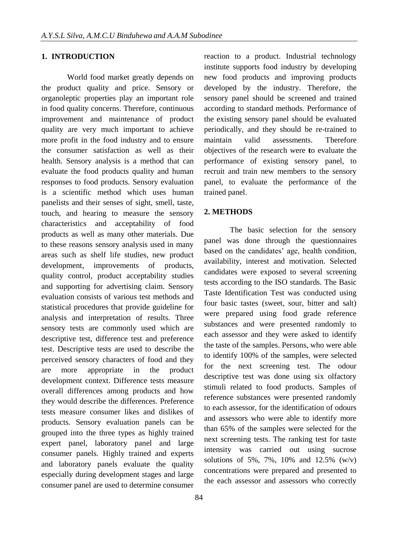## **1. INTRODUCTION**

World food market greatly depends on the product quality and price. Sensory or organoleptic properties play an important role in food quality concerns. Therefore, continuous improvement and maintenance of product quality are very much important to achieve more profit in the food industry and to ensure the consumer satisfaction as well as their health. Sensory analysis is a method that can evaluate the food products quality and human responses to food products. Sensory evaluation is a scientific method which uses human panelists and their senses of sight, smell, taste, touch, and hearing to measure the sensory characteristics and acceptability of food products as well as many other materials. Due to these reasons sensory analysis used in many areas such as shelf life studies, new product development, improvements of products, quality control, product acceptability studies and supporting for advertising claim. Sensory evaluation consists of various test methods and statistical procedures that provide guideline for analysis and interpretation of results. Three sensory tests are commonly used which are descriptive test, difference test and preference test. Descriptive tests are used to describe the perceived sensory characters of food and they are more appropriate in the product development context. Difference tests measure overall differences among products and how they would describe the differences. Preference tests measure consumer likes and dislikes of products. Sensory evaluation panels can be grouped into the three types as highly trained expert panel, laboratory panel and large consumer panels. Highly trained and experts and laboratory panels evaluate the quality especially during development stages and large consumer panel are used to determine consumer

reaction to a product. Industrial technology institute supports food industry by developing new food products and improving products developed by the industry. Therefore, the sensory panel should be screened and trained according to standard methods. Performance of the existing sensory panel should be evaluated periodically, and they should be re-trained to maintain valid assessments. Therefore objectives of the research were **t**o evaluate the performance of existing sensory panel, to recruit and train new members to the sensory panel, to evaluate the performance of the trained panel.

# **2. METHODS**

The basic selection for the sensory panel was done through the questionnaires based on the candidates' age, health condition, availability, interest and motivation. Selected candidates were exposed to several screening tests according to the ISO standards. The Basic Taste Identification Test was conducted using four basic tastes (sweet, sour, bitter and salt) were prepared using food grade reference substances and were presented randomly to each assessor and they were asked to identify the taste of the samples. Persons, who were able to identify 100% of the samples, were selected for the next screening test. The odour descriptive test was done using six olfactory stimuli related to food products. Samples of reference substances were presented randomly to each assessor, for the identification of odours and assessors who were able to identify more than 65% of the samples were selected for the next screening tests. The ranking test for taste intensity was carried out using sucrose solutions of 5%, 7%, 10% and 12.5% (w/v) concentrations were prepared and presented to the each assessor and assessors who correctly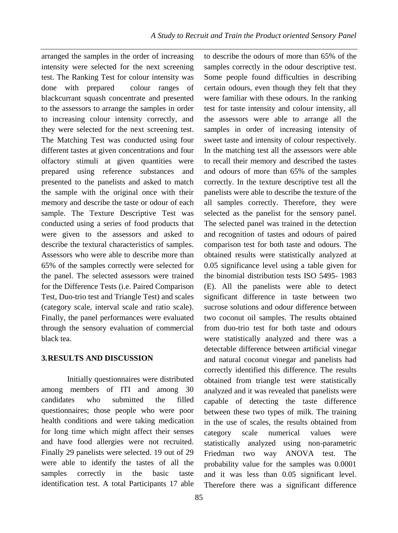to describe the odours of more than 65% of the samples correctly in the odour descriptive test.

arranged the samples in the order of increasing intensity were selected for the next screening test. The Ranking Test for colour intensity was done with prepared colour ranges of blackcurrant squash concentrate and presented to the assessors to arrange the samples in order to increasing colour intensity correctly, and they were selected for the next screening test. The Matching Test was conducted using four different tastes at given concentrations and four olfactory stimuli at given quantities were prepared using reference substances and presented to the panelists and asked to match the sample with the original once with their memory and describe the taste or odour of each sample. The Texture Descriptive Test was conducted using a series of food products that were given to the assessors and asked to describe the textural characteristics of samples. Assessors who were able to describe more than 65% of the samples correctly were selected for the panel. The selected assessors were trained for the Difference Tests (i.e. Paired Comparison Test, Duo-trio test and Triangle Test) and scales (category scale, interval scale and ratio scale). Finally, the panel performances were evaluated through the sensory evaluation of commercial black tea.

## **3.RESULTS AND DISCUSSION**

Initially questionnaires were distributed among members of ITI and among 30 candidates who submitted the filled questionnaires; those people who were poor health conditions and were taking medication for long time which might affect their senses and have food allergies were not recruited. Finally 29 panelists were selected. 19 out of 29 were able to identify the tastes of all the samples correctly in the basic taste identification test. A total Participants 17 able Some people found difficulties in describing certain odours, even though they felt that they were familiar with these odours. In the ranking test for taste intensity and colour intensity, all the assessors were able to arrange all the samples in order of increasing intensity of sweet taste and intensity of colour respectively. In the matching test all the assessors were able to recall their memory and described the tastes and odours of more than 65% of the samples correctly. In the texture descriptive test all the panelists were able to describe the texture of the all samples correctly. Therefore, they were selected as the panelist for the sensory panel. The selected panel was trained in the detection and recognition of tastes and odours of paired comparison test for both taste and odours. The obtained results were statistically analyzed at 0.05 significance level using a table given for the binomial distribution tests ISO 5495- 1983 (E). All the panelists were able to detect significant difference in taste between two sucrose solutions and odour difference between two coconut oil samples. The results obtained from duo-trio test for both taste and odours were statistically analyzed and there was a detectable difference between artificial vinegar and natural coconut vinegar and panelists had correctly identified this difference. The results obtained from triangle test were statistically analyzed and it was revealed that panelists were capable of detecting the taste difference between these two types of milk. The training in the use of scales, the results obtained from category scale numerical values were statistically analyzed using non-parametric Friedman two way ANOVA test. The probability value for the samples was 0.0001 and it was less than 0.05 significant level. Therefore there was a significant difference